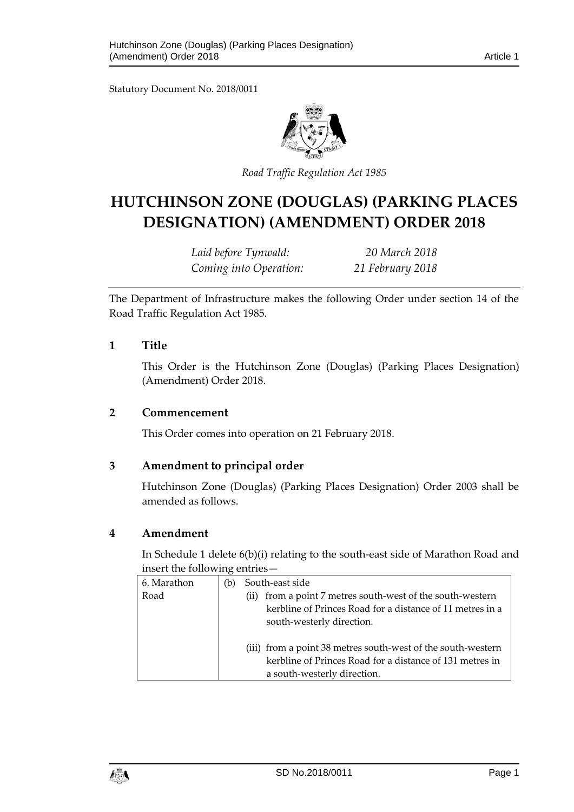Statutory Document No. 2018/0011



*Road Traffic Regulation Act 1985*

# **HUTCHINSON ZONE (DOUGLAS) (PARKING PLACES DESIGNATION) (AMENDMENT) ORDER 2018**

*Laid before Tynwald: 20 March 2018 Coming into Operation: 21 February 2018*

The Department of Infrastructure makes the following Order under section 14 of the Road Traffic Regulation Act 1985.

#### **1 Title**

This Order is the Hutchinson Zone (Douglas) (Parking Places Designation) (Amendment) Order 2018.

#### **2 Commencement**

This Order comes into operation on 21 February 2018.

#### **3 Amendment to principal order**

Hutchinson Zone (Douglas) (Parking Places Designation) Order 2003 shall be amended as follows.

#### **4 Amendment**

In Schedule 1 delete 6(b)(i) relating to the south-east side of Marathon Road and insert the following entries—

| 6. Marathon | (b) | South-east side                                                                                                                                          |
|-------------|-----|----------------------------------------------------------------------------------------------------------------------------------------------------------|
| Road        |     | from a point 7 metres south-west of the south-western<br>(iij)<br>kerbline of Princes Road for a distance of 11 metres in a<br>south-westerly direction. |
|             |     | (iii) from a point 38 metres south-west of the south-western<br>kerbline of Princes Road for a distance of 131 metres in<br>a south-westerly direction.  |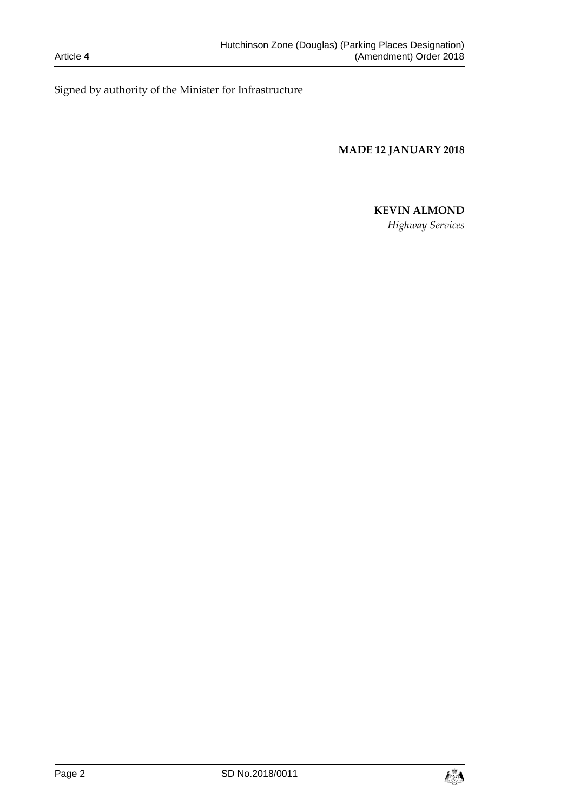Signed by authority of the Minister for Infrastructure

**MADE 12 JANUARY 2018**

## **KEVIN ALMOND**

*Highway Services*